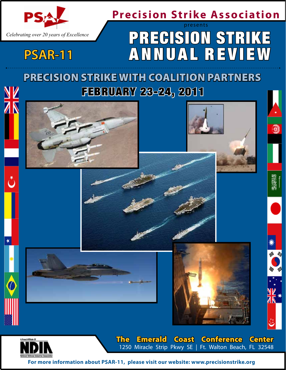

**PSAR-11**

## **Precision Strike Association**

## Precision Strike ANNUAL REVIEW presents

Precision Strike with Coalition Partners FEBRUARY 23-24, 2011



**For more information about PSAR-11, please visit our website: www.precisionstrike.org**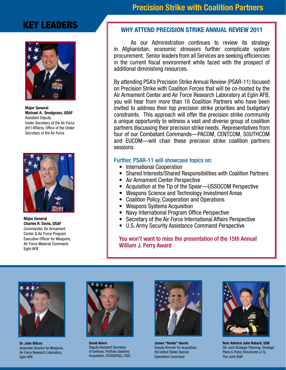## KEY LEADERS



Major General Michael A. Snodgrass, USAF Assistant Deputy Under Secretary of the Air Force (Int'l Affairs), Office of the Under Secretary of the Air Force



Major General Charles R. Davis, USAF Commander, Air Armament Center & Air Force Program Executive Officer for Weapons, Air Force Materiel Command, Eglin AFB

## Precision Strike with Coalition Partners

### Why Attend Precision Strike Annual Review 2011

As our Administration continues to review its strategy in Afghanistan, economic stressors further complicate system procurement. Senior leaders from all Services are seeking efficiencies in the current fiscal environment while faced with the prospect of additional diminishing resources.

By attending PSA's Precision Strike Annual Review (PSAR-11) focused on Precision Strike with Coalition Forces that will be co-hosted by the Air Armament Center and Air Force Research Laboratory at Eglin AFB, you will hear from more than 16 Coalition Partners who have been invited to address their top precision strike priorities and budgetary constraints. This approach will offer the precision strike community a unique opportunity to witness a vast and diverse group of coalition partners discussing their precision strike needs. Representatives from four of our Combatant Commands—PACOM, CENTCOM, SOUTHCOM and EUCOM—will chair these precision strike coalition partners sessions.

#### Further, PSAR-11 will showcase topics on:

- International Cooperation
- Shared Interests/Shared Responsibilities with Coalition Partners
- Air Armament Center Perspective
- Acquisition at the Tip of the Spear—USSOCOM Perspective
- Weapons Science and Technology Investment Areas
- Coalition Policy, Cooperation and Operations
- Weapons Systems Acquisition
- Navy International Program Office Perspective
- Secretary of the Air Force International Affairs Perspective
- U.S. Army Security Assistance Command Perspective

You won't want to miss the presentation of the 15th Annual William J. Perry Award



Dr. John Wilcox Associate Director for Weapons, Air Force Research Laboratory, Eglin AFB



David Ahern Deputy Assistant Secretary of Defense, Portfolio Systems Acquisition, OUSD(AT&L), OSD



James "Hondo" Geurts Deputy Director for Acquisition, HQ United States Special Operations Command



Rear Admiral John Roberti, USN DD Joint Strategic Planning, Strategic Plans & Policy Directorate (J-5), The Joint Staff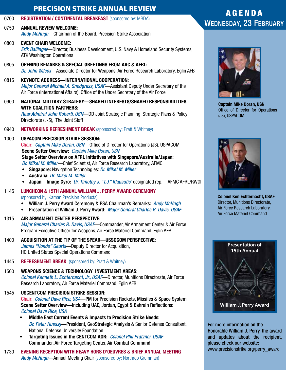### PRECISION STRIKE ANNUAL REVIEW

0700 REGISTRATION / CONTINENTAL BREAKFAST (sponsored by: MBDA)

0750 ANNUAL REVIEW WELCOME: *Andy McHugh*—Chairman of the Board, Precision Strike Association

- 0800 EVENT CHAIR WELCOME: *Erik Ballinger*—Director, Business Development, U.S. Navy & Homeland Security Systems, ATK Washington Operations
- 0805 OPENING REMARKS & SPECIAL GREETINGS FROM AAC & AFRL: *Dr. John Wilcox*—Associate Director for Weapons, Air Force Research Laboratory, Eglin AFB
- 0815 KEYNOTE ADDRESS—INTERNATIONAL COOPERATION: *Major General Michael A. Snodgrass, USAF*—Assistant Deputy Under Secretary of the Air Force (International Affairs), Office of the Under Secretary of the Air Force
- 0900 NATIONAL MILITARY STRATEGY—SHARED INTERESTS/SHARED RESPONSIBILITIES WITH COALITION PARTNERS: *Rear Admiral John Roberti, USN*—DD Joint Strategic Planning, Strategic Plans & Policy

Directorate (J-5), The Joint Staff

0940 NETWORKING REFRESHMENT BREAK (sponsored by: Pratt & Whitney)

### 1000 USPACOM PRECISION STRIKE SESSION:

Chair: *Captain Mike Doran, USN*—Office of Director for Operations (J3), USPACOM Scene Setter Overview: *Captain Mike Doran, USN* Stage Setter Overview on AFRL initiatives with Singapore/Australia/Japan:

*Dr. Mikel M. Miller*—Chief Scientist, Air Force Research Laboratory, AFMC

- Singapore: Navigation Technologies: *Dr. Mikel M. Miller*
- Australia: *Dr. Mikel M. Miller*
- Japan—Image Gyro: *Dr. Timothy J. "T.J." Klausutis'* designated rep.—AFMC AFRL/RWGI
- 1145 LUNCHEON & 15TH ANNUAL WILLIAM J. PERRY AWARD CEREMONY (sponsored by: Kaman Precision Products)
	- William J. Perry Award Ceremony & PSA Chairman's Remarks: *Andy McHugh*
	- Presentation of William J. Perry Award: *Major General Charles R. Davis, USAF*

#### 1315 AIR ARMAMENT CENTER PERSPECTIVE:

*Major General Charles R. Davis, USAF*—Commander, Air Armament Center & Air Force Program Executive Officer for Weapons, Air Force Materiel Command, Eglin AFB

- 1400 ACQUISITION AT THE TIP OF THE SPEAR—USSOCOM PERSPECTIVE: *James "Hondo" Geurts*—Deputy Director for Acquisition, HQ United States Special Operations Command
- 1445 REFRESHMENT BREAK (sponsored by: Pratt & Whitney)
- 1500 WEAPONS SCIENCE & TECHNOLOGY INVESTMENT AREAS: *Colonel Kenneth L. Echternacht, Jr., USAF*—Director, Munitions Directorate, Air Force Research Laboratory, Air Force Materiel Command, Eglin AFB

## 1545 USCENTCOM PRECISION STRIKE SESSION:

Chair: *Colonel Dave Rice, USA*—PM for Precision Rockets, Missiles & Space System Scene Setter Overview—including UAE, Jordan, Egypt & Bahrain Reflections: *Colonel Dave Rice, USA*

- Middle East Current Events & Impacts to Precision Strike Needs: *Dr. Peter Huess*y—President, GeoStrategic Analysis & Senior Defense Consultant, National Defense University Foundation
- Targeting Issues in the CENTCOM AOR: *Colonel Phil Pratzner, USAF* Commander, Air Force Targeting Center, Air Combat Command

1730 EVENING RECEPTION WITH HEAVY HORS D'OEUVRES & BRIEF ANNUAL MEETING *Andy McHugh*—Annual Meeting Chair (sponsored by: Northrop Grumman)

## A G E N D A Wednesday, 23 February



Captain Mike Doran, USN Office of Director for Operations (J3), USPACOM



Colonel Ken Echternacht, USAF Director, Munitions Directorate, Air Force Research Laboratory, Air Force Materiel Command



For more information on the Honorable William J. Perry, the award and updates about the recipient, please check our website: www.precisionstrike.org/perry\_award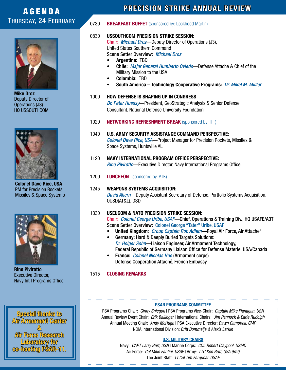## **AGENDA** Thursday, 24 February



Mike Droz Deputy Director of Operations (J3) HQ USSOUTHCOM



Colonel Dave Rice, USA PM for Precision Rockets, Missiles & Space Systems



Rino Pivirotto Executive Director, Navy Int'l Programs Office

Special thanks to Air Armament Center & Air Force Research Laboratory for co-hosting PSAR-11.

## PRECISION STRIKE ANNUAL REVIEW

#### 0730 BREAKFAST BUFFET (sponsored by: Lockheed Martin)

#### 0830 USSOUTHCOM PRECISION STRIKE SESSION:

Chair: *Michael Droz*—Deputy Director of Operations (J3), United States Southern Command Scene Setter Overview: *Michael Droz*

- Argentina: TBD
- Chile: *Major General Humberto Oviedo*—Defense Attache & Chief of the Military Mission to the USA
- Colombia: TBD
- South America Technology Cooperative Programs: *Dr. Mikel M. Milller*
- 1000 How Defense is Shaping Up in Congress *Dr. Peter Huessy*—President, GeoStrategic Analysis & Senior Defense

Consultant, National Defense University Foundation

- 1020 NETWORKING REFRESHMENT BREAK (sponsored by: ITT)
- 1040 U.S. ARMY SECURITY ASSISTANCE COMMAND PERSPECTIVE: *Colonel Dave Rice, USA*—Project Manager for Precision Rockets, Missiles & Space Systems, Huntsville AL
- 1120 NAVY INTERNATIONAL PROGRAM OFFICE PERSPECTIVE: *Rino Pivirotto*—Executive Director, Navy International Programs Office
- 1200 **LUNCHEON** (sponsored by: ATK)

#### 1245 WEAPONS SYSTEMS ACQUISITION: *David Ahern*—Deputy Assistant Secretary of Defense, Portfolio Systems Acquisition, OUSD(AT&L), OSD

#### 1330 USEUCOM & NATO PRECISION STRIKE SESSION:

Chair: *Colonel George Uribe, USAF*—Chief, Operations & Training Div., HQ USAFE/A3T Scene Setter Overview: Colonel George "Tater" Uribe, USAF

- United Kingdom: *Group Captain Rob Adlam*—Royal Air Force, Air Attache'
- Germany: Hard & Deeply Buried Targets Solutions: *Dr. Holger Sohn*—Liaison Engineer, Air Armament Technology, Federal Republic of Germany Liaison Office for Defense Materiel USA/Canada
- France: *Colonel Nicolas Hue* (Armament corps) Defense Cooperation Attaché, French Embassy

#### 1515 CLOSING REMARKS

#### PSAR PROGRAMS COMMITTEE

PSA Programs Chair: *Ginny Sniegon* | PSA Programs Vice-Chair: *Captain Mike Flanagan, USN* Annual Review Event Chair: *Erik Ballinger* | International Chairs: *Jim Pennock & Earle Rudolph* Annual Meeting Chair: *Andy McHugh* | PSA Executive Director: *Dawn Campbell, CMP* NDIA International Division: *Britt Bommelje & Alexis Larkin*

#### U.S. Military Chairs

Navy: *CAPT Larry Burt, USN* | Marine Corps: *COL Robert Claypool. USMC* Air Force: *Col Mike Fantini, USAF* | Army: *LTC Ken Britt, USA (Ret)* The Joint Staff: *Lt Col Tim Farquhar. USAF*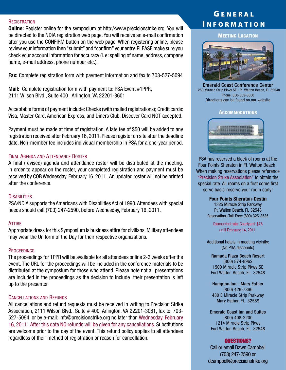REGISTRATION<br>Online: Register online for the symposium at http://www.precisionstrike.org. You will<br>Wallen on the Law of Law of Law on the Canada of Law online: Register online: Register online for the symposium be directed to the NDIA registration web page. You will receive an e-mail confirmation after you use the CONFIRM button on the web page. When registering online, please review your information then "submit" and "confirm" your entry. PLEASE make sure you check your account information for accuracy (i. e: spelling of name, address, company name, e-mail address, phone number etc.).

Fax: Complete registration form with payment information and fax to 703-527-5094

Mail: Complete registration form with payment to: PSA Event #1PPR, 2111 Wilson Blvd., Suite 400 | Arlington, VA 22201-3601

Acceptable forms of payment include: Checks (with mailed registrations); Credit cards: Visa, Master Card, American Express, and Diners Club. Discover Card NOT accepted.

Payment must be made at time of registration. A late fee of \$50 will be added to any registration received after February 16, 2011. Please register on site after the deadline date. Non-member fee includes individual membership in PSA for a one-year period.

#### Final Agenda and Attendance Roster

A final (revised) agenda and attendance roster will be distributed at the meeting. In order to appear on the roster, your completed registration and payment must be received by COB Wednesday, February 16, 2011. An updated roster will not be printed after the conference.

#### **DISABILITIES**

PSA/NDIA supports the Americans with Disabilities Act of 1990. Attendees with special needs should call (703) 247-2590, before Wednesday, February 16, 2011.

#### **ATTIRE**

Appropriate dress for this Symposium is business attire for civilians. Military attendees may wear the Uniform of the Day for their respective organizations.

#### **PROCEEDINGS**

The proceedings for 1PPR will be available for all attendees online 2-3 weeks after the event. The URL for the proceedings will be included in the conference materials to be distributed at the symposium for those who attend. Please note not all presentations are included in the proceedings as the decision to include their presentation is left up to the presenter.

#### Cancellations and Refunds

All cancellations and refund requests must be received in writing to Precision Strike Association, 2111 Wilson Blvd., Suite # 400, Arlington, VA 22201-3061, fax to: 703- 527-5094, or by e-mail: info@precisionstrike.org no later than Wednesday, February 16, 2011. After this date NO refunds will be given for any cancellations. Substitutions are welcome prior to the day of the event. This refund policy applies to all attendees regardless of their method of registration or reason for cancellation.

## **GENERAL**

**MEETING LOCATION** 



Emerald Coast Conference Center 1250 Miracle Strip Pkwy SE | Ft. Walton Beach, FL 32548 Phone: 850-609-3800 Directions can be found on our website

**ACCOMMODATIONS** 



PSA has reserved a block of rooms at the Four Points Sheraton in Ft. Walton Beach . When making reservations please reference "Precision Strike Association" to obtain the special rate. All rooms on a first come first serve basis-reserve your room early!

#### Four Points Sheraton-Destin

1325 Miracle Strip Parkway Ft. Walton Beach, FL 32548 Reservations Toll-Free: (800) 325-3535

Discounted rate: Courtyard: \$78 until February 14, 2011.

Additional hotels in meeting vicinity: (No PSA discounts)

Ramada Plaza Beach Resort (800) 874-8962 1500 Miracle Strip Pkwy SE Fort Walton Beach, FL 32548

Hampton Inn - Mary Esther (800) 426-7866 480 E Miracle Strip Parkway Mary Esther, FL 32569

Emerald Coast Inn and Suites (800) 408-2200 1214 Miracle Strip Pkwy Fort Walton Beach, FL 32548

#### QUESTIONS?

Call or email Dawn Campbell (703) 247-2590 or dcampbell@precisionstrike.org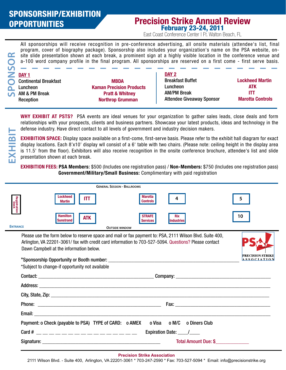# SPONSORSHIP/EXHIBITION

### OPPORTUNITIES Precision Strike Annual Review February 23-24, 2011

East Coast Conference Center | Ft. Walton Beach, FL

All sponsorships will receive recognition in pre-conference advertising, all onsite materials (attendee's list, final program, cover of biography package). Sponsorship also includes your organization's name on the PSA website, onsite slide presentation shown at each break, a prominent sign at a highly visible location in the conference venue and a-100 word company profile in the final program. All sponsorships are reserved on a first come - first serve basis.

| DAY <sub>1</sub>             |                                 | DAY 2                            |                         |
|------------------------------|---------------------------------|----------------------------------|-------------------------|
| <b>Continental Breakfast</b> | <b>MBDA</b>                     | <b>Breakfast Buffet</b>          | <b>Lockheed Martin</b>  |
| Luncheon                     | <b>Kaman Precision Products</b> | Luncheon                         | ATK                     |
| AM & PM Break                | <b>Pratt &amp; Whitney</b>      | <b>AM/PM Break</b>               |                         |
| Reception                    | <b>Northrop Grumman</b>         | <b>Attendee Giveaway Sponsor</b> | <b>Marotta Controls</b> |
|                              |                                 |                                  |                         |

WHY EXHIBIT AT PSTS? PSA events are ideal venues for your organization to gather sales leads, close deals and form relationships with your prospects, clients and business partners. Showcase your latest products, ideas and technology in the defense industry. Have direct contact to all levels of government and industry decision makers.

EXHIBITION SPACE: Display space available on a first-come, first-serve basis. Please refer to the exhibit hall diagram for exact display locations. Each 8'x10' display wll consist of a 6' table with two chairs. (Please note: ceiling height in the display area is 11.5' from the floor). Exhibitors will also receive recognition in the onsite conference brochure, attendee's list and slide presentation shown at each break.

EXHIBITION FEES: PSA Members: \$500 (Includes one registration pass) / Non-Members: \$750 (Includes one registration pass) Government/Military/Small Business: Complimentary with paid registration

|                      | <b>GENERAL SESSION - BALLROOMS</b>                                                                                                                                                                                                                                                                                                       |                                               |  |
|----------------------|------------------------------------------------------------------------------------------------------------------------------------------------------------------------------------------------------------------------------------------------------------------------------------------------------------------------------------------|-----------------------------------------------|--|
| Registration<br>Desk | <b>Lockheed</b><br><b>Marotta</b><br>4<br>IТT<br><b>Controls</b><br><b>Martin</b>                                                                                                                                                                                                                                                        |                                               |  |
| <b>ENTRANCE</b>      | <b>Hamilton</b><br><b>STRAFE</b><br><b>Rix</b><br><b>ATK</b><br><b>Sunstrand</b><br><b>Services</b><br><b>Industries</b><br><b>OUTSIDE WINDOW</b>                                                                                                                                                                                        | 10                                            |  |
|                      |                                                                                                                                                                                                                                                                                                                                          |                                               |  |
|                      | Please use the form below to reserve space and mail or fax payment to: PSA, 2111 Wilson Blvd. Suite 400,<br>Arlington, VA 22201-3061/ fax with credit card information to 703-527-5094. Questions? Please contact<br>Dawn Campbell at the information below.                                                                             |                                               |  |
|                      |                                                                                                                                                                                                                                                                                                                                          | <b>PRECISION STRIKE</b><br><b>ASSOCIATION</b> |  |
|                      | *Subject to change-if opportunity not available                                                                                                                                                                                                                                                                                          |                                               |  |
|                      |                                                                                                                                                                                                                                                                                                                                          |                                               |  |
|                      |                                                                                                                                                                                                                                                                                                                                          |                                               |  |
|                      |                                                                                                                                                                                                                                                                                                                                          |                                               |  |
|                      | <b>Fax:</b> The <b>Fax:</b> The <b>Fax:</b> The <b>Fax:</b> The <b>Fax:</b> The <b>Fax:</b> The <b>Fax:</b> The <b>Fax:</b> The <b>Fax:</b> The <b>Fax:</b> The <b>Fax:</b> The <b>Fax:</b> The <b>Fax:</b> The <b>Fax:</b> The <b>Fax:</b> The <b>Fax:</b> The <b>Fax:</b> The <b>Fax:</b> The <b>Fax:</b> The <b>Fax:</b> The <b>F</b> |                                               |  |
|                      |                                                                                                                                                                                                                                                                                                                                          |                                               |  |
|                      | Payment: o Check (payable to PSA) TYPE of CARD: o AMEX o Visa o M/C o Diners Club                                                                                                                                                                                                                                                        |                                               |  |
|                      | Card # __________________                                                                                                                                                                                                                                                                                                                |                                               |  |
|                      | Total Amount Due: \$                                                                                                                                                                                                                                                                                                                     |                                               |  |
|                      |                                                                                                                                                                                                                                                                                                                                          |                                               |  |

#### **Precision Strike Association**

2111 Wilson Blvd. - Suite 400, Arlington, VA 22201-3061 \* 703-247-2590 \* Fax: 703-527-5094 \* Email: info@precisionstrike.org

**EXHIBI**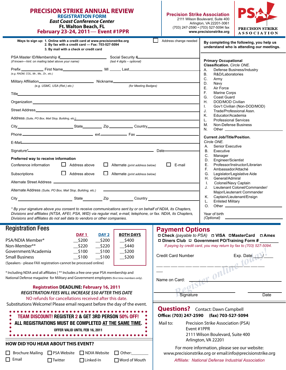| <b>PRECISION STRIKE ANNUAL REVIEW</b><br><b>REGISTRATION FORM</b><br><b>East Coast Conference Center</b><br><b>Ft. Walton Beach, FL</b><br>February 23-24, 2011- Event #1PPR                                                                                                                   | <b>Precision Strike Association</b> | 2111 Wilson Boulevard, Suite 400<br>Arlington, VA 22201-3061<br>(703) 247-2590 · (703) 527-5094 fax<br>www.precisionstrike.org                                    | <b>PRECISION STRIKE</b><br><b>ASSOCIATION</b>                                            |  |
|------------------------------------------------------------------------------------------------------------------------------------------------------------------------------------------------------------------------------------------------------------------------------------------------|-------------------------------------|-------------------------------------------------------------------------------------------------------------------------------------------------------------------|------------------------------------------------------------------------------------------|--|
| Ways to sign up: 1. Online with a credit card at www.precisionstrike.org<br>2. By fax with a credit card - Fax: 703-527-5094<br>3. By mail with a check or credit card                                                                                                                         | Address change needed               |                                                                                                                                                                   | By completing the following, you help us<br>understand who is attending our meetings.    |  |
| (if known-hint: on mailing label above your name)<br>(last 4 digits - optional)                                                                                                                                                                                                                |                                     | <b>Primary Occupational</b><br>Classification. Circle ONE.                                                                                                        |                                                                                          |  |
| (e.g. RADM, COL, Mr., Ms., Dr., etc.)<br>(e.g. USMC, USA (Ret.) etc.)<br>(for Meeting Badges)                                                                                                                                                                                                  |                                     | A.<br>Defense Business/Industry<br><b>B.</b><br>R&D/Laboratories<br>C.<br>Army<br>D.<br>Navy<br>Ε.<br>Air Force<br>F.<br><b>Marine Corps</b><br>G.<br>Coast Guard |                                                                                          |  |
| Organization <b>Example 2018</b> Contract to the contract of the contract of the contract of the contract of the contract of the contract of the contract of the contract of the contract of the contract of the contract of the co                                                            |                                     | <b>DOD/MOD Civilian</b><br>Η.<br>T.<br>J.<br>Κ.<br>Educator/Academia                                                                                              | Gov't Civilian (Non-DOD/MOD)<br>Trade/Professional Assn.                                 |  |
| Address (Suite, PO Box, Mail Stop, Building, etc.) And the control of the control of the control of the control of the control of the control of the control of the control of the control of the control of the control of th                                                                 |                                     | <b>Professional Services</b><br>L.<br>М.<br>Non-Defense Business<br>N.                                                                                            |                                                                                          |  |
| E-Mail <b>E-Mail and Community and Community and Community and Community and Community and Community and Community</b>                                                                                                                                                                         |                                     | <b>Current Job/Title/Position.</b><br>Circle ONE.<br>Senior Executive<br>А.<br>Executive<br>В.                                                                    |                                                                                          |  |
| Preferred way to receive information<br>$\Box$ Address above<br>$\Box$<br>Conference information<br>Alternate (print address below)                                                                                                                                                            | $\Box$<br>E-mail                    | C.<br>Manager<br>D.<br>Engineer/Scientist<br>Е.<br>F.<br>Ambassador/Attaché                                                                                       | Professor/Instructor/Librarian                                                           |  |
| $\Box$ Address above<br>$\Box$<br>Alternate (print address below)<br>Subscriptions                                                                                                                                                                                                             |                                     | G.<br>H.<br>General/Admiral<br>$\mathbf{L}$<br>Colonel/Navy Captain                                                                                               | Legislator/Legislative Aide                                                              |  |
| Alternate Address (Suite, PO Box, Mail Stop, Building, etc.)<br>City Country Country Country Country Country Country Country Country Country Country Country Country Country Country Country Country Country Country Country Country Country Country Country Country Country Country Country C |                                     | J.<br>Κ.<br><b>Enlisted Military</b><br>L.                                                                                                                        | Lieutenant Colonel/Commander/<br>Major/Lieutenant Commander<br>Captain/Lieutenant/Ensign |  |
| * By your signature above you consent to receive communications sent by or on behalf of NDIA, its Chapters,                                                                                                                                                                                    |                                     | O <sub>1</sub>                                                                                                                                                    |                                                                                          |  |

*\* By your signature above you consent to receive communications sent by or on behalf of NDIA, its Chapters, Divisions and affiliates (NTSA, AFEI, PSA, WID) via regular mail, e-mail, telephone, or fax. NDIA, its Chapters, Divisions and affiliates do not sell data to vendors or other companies.*

#### Registration Fees

|                                                                 | DAY <sub>1</sub> | DAY <sub>2</sub> | <b>BOTH DAYS</b> |
|-----------------------------------------------------------------|------------------|------------------|------------------|
| PSA/NDIA Member*                                                | \$200            | \$200            | \$400            |
| Non-Member**                                                    | \$220            | \$220            | \$440            |
| Government/Academia                                             | \$100            | \$100            | \$200            |
| <b>Small Business</b>                                           | \$100            | \$100            | \$200            |
| (Speakers - please EAX registration-cannot be processed opline) |                  |                  |                  |

(Speakers - please FAX registration-cannot be processed online)

\* Including NDIA and all affiliates | \*\* Includes a free one-year PSA membership and National Defense magazine for Military and Government employees (first time members only).

#### **Registration DEADLINE: February 16, 2011** *REGISTRATION FEES WILL INCREASE \$50 AFTER THIS DATE* NO refunds for cancellations received after this date.

Substitutions Welcome! Please email request before the day of the event.

#### ......................... team Discount! register 2 & get 3rd Person 50% off! all registrations must be completed at the same time.  $\bullet$ offer Valid until Feb 16, 2011

### **HOW DID YOU HEAR ABOUT THIS EVENT?**

| $\Box$ Brochure Mailing $\Box$ PSA Website $\Box$ NDIA Website $\Box$ Other: |                 |                  |                 |
|------------------------------------------------------------------------------|-----------------|------------------|-----------------|
| $\Box$ Email                                                                 | <b>□Twitter</b> | $\Box$ Linked-In | □ Word of Mouth |

| <b>Payment Options</b><br>□ Check (payable to PSA) □ VISA □ MasterCard □ Amex<br>$\Box$ Diners Club $\Box$ Government PO/Training Form #<br>If paying by credit card, you may return by fax to (703) 527-5094. |           |  |  |
|----------------------------------------------------------------------------------------------------------------------------------------------------------------------------------------------------------------|-----------|--|--|
| Credit Card Number                                                                                                                                                                                             | Exp. Date |  |  |
|                                                                                                                                                                                                                |           |  |  |
|                                                                                                                                                                                                                |           |  |  |
|                                                                                                                                                                                                                |           |  |  |
| $\sqrt{2}$<br>Name on Card:                                                                                                                                                                                    |           |  |  |
|                                                                                                                                                                                                                |           |  |  |
| Signature                                                                                                                                                                                                      | Date      |  |  |

Year of birth *(Optional)*

#### **Questions?** Contact: Dawn Campbell **Office: (703) 247-2590 (fax) 703-527-5094**

Mail to: Precision Strike Association (PSA) Event #1PPR 2111 Wilson Boulevard, Suite 400 Arlington, VA 22201

For more information, please see our website: www.precisionstrike.org or email:info@precisionstrike.org

*Affiliate: National Defense Industrial Association*